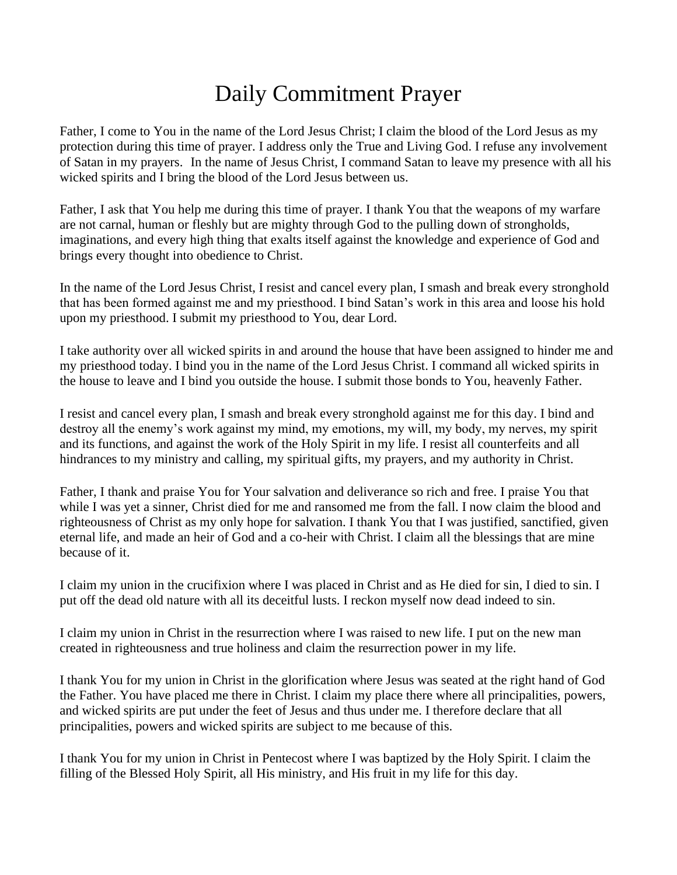## Daily Commitment Prayer

Father, I come to You in the name of the Lord Jesus Christ; I claim the blood of the Lord Jesus as my protection during this time of prayer. I address only the True and Living God. I refuse any involvement of Satan in my prayers. In the name of Jesus Christ, I command Satan to leave my presence with all his wicked spirits and I bring the blood of the Lord Jesus between us.

Father, I ask that You help me during this time of prayer. I thank You that the weapons of my warfare are not carnal, human or fleshly but are mighty through God to the pulling down of strongholds, imaginations, and every high thing that exalts itself against the knowledge and experience of God and brings every thought into obedience to Christ.

In the name of the Lord Jesus Christ, I resist and cancel every plan, I smash and break every stronghold that has been formed against me and my priesthood. I bind Satan's work in this area and loose his hold upon my priesthood. I submit my priesthood to You, dear Lord.

I take authority over all wicked spirits in and around the house that have been assigned to hinder me and my priesthood today. I bind you in the name of the Lord Jesus Christ. I command all wicked spirits in the house to leave and I bind you outside the house. I submit those bonds to You, heavenly Father.

I resist and cancel every plan, I smash and break every stronghold against me for this day. I bind and destroy all the enemy's work against my mind, my emotions, my will, my body, my nerves, my spirit and its functions, and against the work of the Holy Spirit in my life. I resist all counterfeits and all hindrances to my ministry and calling, my spiritual gifts, my prayers, and my authority in Christ.

Father, I thank and praise You for Your salvation and deliverance so rich and free. I praise You that while I was yet a sinner, Christ died for me and ransomed me from the fall. I now claim the blood and righteousness of Christ as my only hope for salvation. I thank You that I was justified, sanctified, given eternal life, and made an heir of God and a co-heir with Christ. I claim all the blessings that are mine because of it.

I claim my union in the crucifixion where I was placed in Christ and as He died for sin, I died to sin. I put off the dead old nature with all its deceitful lusts. I reckon myself now dead indeed to sin.

I claim my union in Christ in the resurrection where I was raised to new life. I put on the new man created in righteousness and true holiness and claim the resurrection power in my life.

I thank You for my union in Christ in the glorification where Jesus was seated at the right hand of God the Father. You have placed me there in Christ. I claim my place there where all principalities, powers, and wicked spirits are put under the feet of Jesus and thus under me. I therefore declare that all principalities, powers and wicked spirits are subject to me because of this.

I thank You for my union in Christ in Pentecost where I was baptized by the Holy Spirit. I claim the filling of the Blessed Holy Spirit, all His ministry, and His fruit in my life for this day.